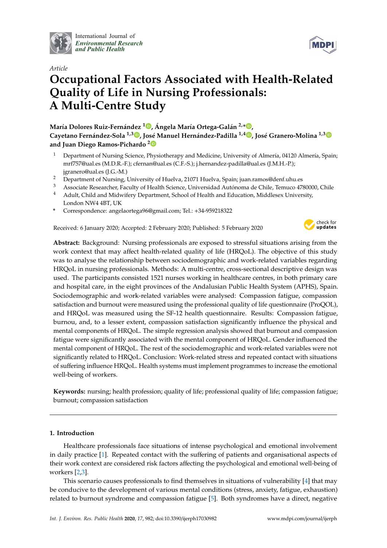

International Journal of *[Environmental Research](http://www.mdpi.com/journal/ijerph) and Public Health*



# *Article* **Occupational Factors Associated with Health-Related Quality of Life in Nursing Professionals: A Multi-Centre Study**

**María Dolores Ruiz-Fernández <sup>1</sup> [,](https://orcid.org/0000-0002-6454-4723) Ángela María Ortega-Galán 2,[\\*](https://orcid.org/0000-0002-5616-4659) , Cayetano Fernández-Sola 1,3 [,](https://orcid.org/0000-0003-1721-0947) José Manuel Hernández-Padilla 1,[4](https://orcid.org/0000-0002-5032-9440) , José Granero-Molina 1,[3](https://orcid.org/0000-0002-7051-2584) and Juan Diego Ramos-Pichardo [2](https://orcid.org/0000-0002-6207-8490)**

- <sup>1</sup> Department of Nursing Science, Physiotherapy and Medicine, University of Almería, 04120 Almería, Spain; mrf757@ual.es (M.D.R.-F.); cfernan@ual.es (C.F.-S.); j.hernandez-padilla@ual.es (J.M.H.-P.); jgranero@ual.es (J.G.-M.)
- <sup>2</sup> Department of Nursing, University of Huelva, 21071 Huelva, Spain; juan.ramos@denf.uhu.es
- <sup>3</sup> Associate Researcher, Faculty of Health Science, Universidad Autónoma de Chile, Temuco 4780000, Chile
- <sup>4</sup> Adult, Child and Midwifery Department, School of Health and Education, Middlesex University, London NW4 4BT, UK
- **\*** Correspondence: angelaortega96@gmail.com; Tel.: +34-959218322

Received: 6 January 2020; Accepted: 2 February 2020; Published: 5 February 2020



**Abstract:** Background: Nursing professionals are exposed to stressful situations arising from the work context that may affect health-related quality of life (HRQoL). The objective of this study was to analyse the relationship between sociodemographic and work-related variables regarding HRQoL in nursing professionals. Methods: A multi-centre, cross-sectional descriptive design was used. The participants consisted 1521 nurses working in healthcare centres, in both primary care and hospital care, in the eight provinces of the Andalusian Public Health System (APHS), Spain. Sociodemographic and work-related variables were analysed: Compassion fatigue, compassion satisfaction and burnout were measured using the professional quality of life questionnaire (ProQOL), and HRQoL was measured using the SF-12 health questionnaire. Results: Compassion fatigue, burnou, and, to a lesser extent, compassion satisfaction significantly influence the physical and mental components of HRQoL. The simple regression analysis showed that burnout and compassion fatigue were significantly associated with the mental component of HRQoL. Gender influenced the mental component of HRQoL. The rest of the sociodemographic and work-related variables were not significantly related to HRQoL. Conclusion: Work-related stress and repeated contact with situations of suffering influence HRQoL. Health systems must implement programmes to increase the emotional well-being of workers.

**Keywords:** nursing; health profession; quality of life; professional quality of life; compassion fatigue; burnout; compassion satisfaction

# **1. Introduction**

Healthcare professionals face situations of intense psychological and emotional involvement in daily practice [\[1\]](#page-9-0). Repeated contact with the suffering of patients and organisational aspects of their work context are considered risk factors affecting the psychological and emotional well-being of workers [\[2,](#page-9-1)[3\]](#page-9-2).

This scenario causes professionals to find themselves in situations of vulnerability [\[4\]](#page-9-3) that may be conducive to the development of various mental conditions (stress, anxiety, fatigue, exhaustion) related to burnout syndrome and compassion fatigue [\[5\]](#page-9-4). Both syndromes have a direct, negative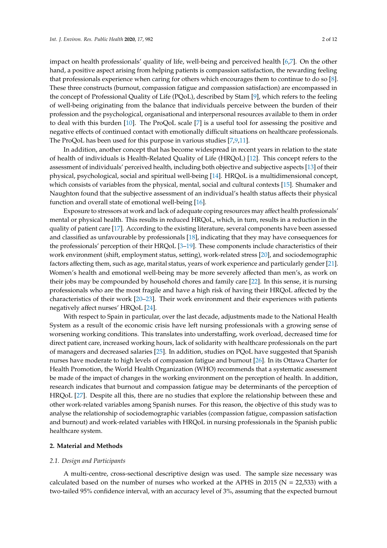impact on health professionals' quality of life, well-being and perceived health [\[6](#page-9-5)[,7\]](#page-9-6). On the other hand, a positive aspect arising from helping patients is compassion satisfaction, the rewarding feeling that professionals experience when caring for others which encourages them to continue to do so [\[8\]](#page-9-7). These three constructs (burnout, compassion fatigue and compassion satisfaction) are encompassed in the concept of Professional Quality of Life (PQoL), described by Stam [\[9\]](#page-9-8), which refers to the feeling of well-being originating from the balance that individuals perceive between the burden of their profession and the psychological, organisational and interpersonal resources available to them in order to deal with this burden [\[10\]](#page-9-9). The ProQoL scale [\[7\]](#page-9-6) is a useful tool for assessing the positive and negative effects of continued contact with emotionally difficult situations on healthcare professionals. The ProQoL has been used for this purpose in various studies [\[7,](#page-9-6)[9,](#page-9-8)[11\]](#page-9-10).

In addition, another concept that has become widespread in recent years in relation to the state of health of individuals is Health-Related Quality of Life (HRQoL) [\[12\]](#page-9-11). This concept refers to the assessment of individuals' perceived health, including both objective and subjective aspects [\[13\]](#page-10-0) of their physical, psychological, social and spiritual well-being [\[14\]](#page-10-1). HRQoL is a multidimensional concept, which consists of variables from the physical, mental, social and cultural contexts [\[15\]](#page-10-2). Shumaker and Naughton found that the subjective assessment of an individual's health status affects their physical function and overall state of emotional well-being [\[16\]](#page-10-3).

Exposure to stressors at work and lack of adequate coping resources may affect health professionals' mental or physical health. This results in reduced HRQoL, which, in turn, results in a reduction in the quality of patient care [\[17\]](#page-10-4). According to the existing literature, several components have been assessed and classified as unfavourable by professionals [\[18\]](#page-10-5), indicating that they may have consequences for the professionals' perception of their HRQoL [\[3–](#page-9-2)[19\]](#page-10-6). These components include characteristics of their work environment (shift, employment status, setting), work-related stress [\[20\]](#page-10-7), and sociodemographic factors affecting them, such as age, marital status, years of work experience and particularly gender [\[21\]](#page-10-8). Women's health and emotional well-being may be more severely affected than men's, as work on their jobs may be compounded by household chores and family care [\[22\]](#page-10-9). In this sense, it is nursing professionals who are the most fragile and have a high risk of having their HRQoL affected by the characteristics of their work [\[20](#page-10-7)[–23\]](#page-10-10). Their work environment and their experiences with patients negatively affect nurses' HRQoL [\[24\]](#page-10-11).

With respect to Spain in particular, over the last decade, adjustments made to the National Health System as a result of the economic crisis have left nursing professionals with a growing sense of worsening working conditions. This translates into understaffing, work overload, decreased time for direct patient care, increased working hours, lack of solidarity with healthcare professionals on the part of managers and decreased salaries [\[25\]](#page-10-12). In addition, studies on PQoL have suggested that Spanish nurses have moderate to high levels of compassion fatigue and burnout [\[26\]](#page-10-13). In its Ottawa Charter for Health Promotion, the World Health Organization (WHO) recommends that a systematic assessment be made of the impact of changes in the working environment on the perception of health. In addition, research indicates that burnout and compassion fatigue may be determinants of the perception of HRQoL [\[27\]](#page-10-14). Despite all this, there are no studies that explore the relationship between these and other work-related variables among Spanish nurses. For this reason, the objective of this study was to analyse the relationship of sociodemographic variables (compassion fatigue, compassion satisfaction and burnout) and work-related variables with HRQoL in nursing professionals in the Spanish public healthcare system.

## **2. Material and Methods**

#### *2.1. Design and Participants*

A multi-centre, cross-sectional descriptive design was used. The sample size necessary was calculated based on the number of nurses who worked at the APHS in 2015 ( $N = 22,533$ ) with a two-tailed 95% confidence interval, with an accuracy level of 3%, assuming that the expected burnout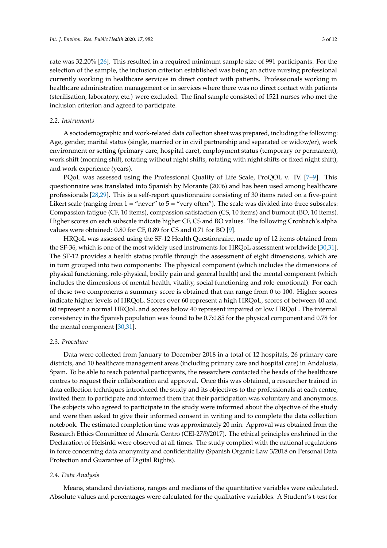rate was 32.20% [\[26\]](#page-10-13). This resulted in a required minimum sample size of 991 participants. For the selection of the sample, the inclusion criterion established was being an active nursing professional currently working in healthcare services in direct contact with patients. Professionals working in healthcare administration management or in services where there was no direct contact with patients (sterilisation, laboratory, etc.) were excluded. The final sample consisted of 1521 nurses who met the inclusion criterion and agreed to participate.

#### *2.2. Instruments*

A sociodemographic and work-related data collection sheet was prepared, including the following: Age, gender, marital status (single, married or in civil partnership and separated or widow/er), work environment or setting (primary care, hospital care), employment status (temporary or permanent), work shift (morning shift, rotating without night shifts, rotating with night shifts or fixed night shift), and work experience (years).

PQoL was assessed using the Professional Quality of Life Scale, ProQOL v. IV. [\[7](#page-9-6)[–9\]](#page-9-8). This questionnaire was translated into Spanish by Morante (2006) and has been used among healthcare professionals [\[28](#page-10-15)[,29\]](#page-10-16). This is a self-report questionnaire consisting of 30 items rated on a five-point Likert scale (ranging from  $1 =$  "never" to  $5 =$  "very often"). The scale was divided into three subscales: Compassion fatigue (CF, 10 items), compassion satisfaction (CS, 10 items) and burnout (BO, 10 items). Higher scores on each subscale indicate higher CF, CS and BO values. The following Cronbach's alpha values were obtained: 0.80 for CF, 0.89 for CS and 0.71 for BO [\[9\]](#page-9-8).

HRQoL was assessed using the SF-12 Health Questionnaire, made up of 12 items obtained from the SF-36, which is one of the most widely used instruments for HRQoL assessment worldwide [\[30](#page-10-17)[,31\]](#page-10-18). The SF-12 provides a health status profile through the assessment of eight dimensions, which are in turn grouped into two components: The physical component (which includes the dimensions of physical functioning, role-physical, bodily pain and general health) and the mental component (which includes the dimensions of mental health, vitality, social functioning and role-emotional). For each of these two components a summary score is obtained that can range from 0 to 100. Higher scores indicate higher levels of HRQoL. Scores over 60 represent a high HRQoL, scores of between 40 and 60 represent a normal HRQoL and scores below 40 represent impaired or low HRQoL. The internal consistency in the Spanish population was found to be 0.7:0.85 for the physical component and 0.78 for the mental component [\[30](#page-10-17)[,31\]](#page-10-18).

## *2.3. Procedure*

Data were collected from January to December 2018 in a total of 12 hospitals, 26 primary care districts, and 10 healthcare management areas (including primary care and hospital care) in Andalusia, Spain. To be able to reach potential participants, the researchers contacted the heads of the healthcare centres to request their collaboration and approval. Once this was obtained, a researcher trained in data collection techniques introduced the study and its objectives to the professionals at each centre, invited them to participate and informed them that their participation was voluntary and anonymous. The subjects who agreed to participate in the study were informed about the objective of the study and were then asked to give their informed consent in writing and to complete the data collection notebook. The estimated completion time was approximately 20 min. Approval was obtained from the Research Ethics Committee of Almería Centro (CEI-27/9/2017). The ethical principles enshrined in the Declaration of Helsinki were observed at all times. The study complied with the national regulations in force concerning data anonymity and confidentiality (Spanish Organic Law 3/2018 on Personal Data Protection and Guarantee of Digital Rights).

## *2.4. Data Analysis*

Means, standard deviations, ranges and medians of the quantitative variables were calculated. Absolute values and percentages were calculated for the qualitative variables. A Student's t-test for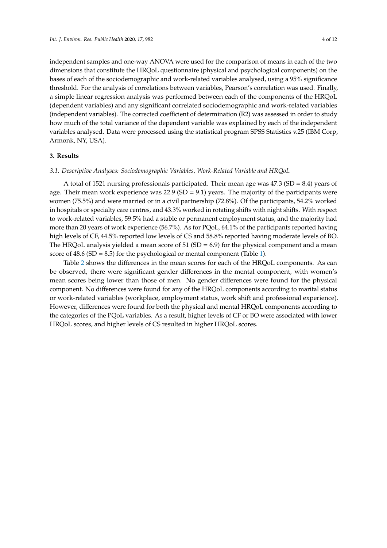independent samples and one-way ANOVA were used for the comparison of means in each of the two dimensions that constitute the HRQoL questionnaire (physical and psychological components) on the bases of each of the sociodemographic and work-related variables analysed, using a 95% significance threshold. For the analysis of correlations between variables, Pearson's correlation was used. Finally, a simple linear regression analysis was performed between each of the components of the HRQoL (dependent variables) and any significant correlated sociodemographic and work-related variables (independent variables). The corrected coefficient of determination (R2) was assessed in order to study how much of the total variance of the dependent variable was explained by each of the independent variables analysed. Data were processed using the statistical program SPSS Statistics v.25 (IBM Corp, Armonk, NY, USA).

# **3. Results**

#### *3.1. Descriptive Analyses: Sociodemographic Variables, Work-Related Variable and HRQoL*

A total of 1521 nursing professionals participated. Their mean age was  $47.3$  (SD = 8.4) years of age. Their mean work experience was 22.9 ( $SD = 9.1$ ) years. The majority of the participants were women (75.5%) and were married or in a civil partnership (72.8%). Of the participants, 54.2% worked in hospitals or specialty care centres, and 43.3% worked in rotating shifts with night shifts. With respect to work-related variables, 59.5% had a stable or permanent employment status, and the majority had more than 20 years of work experience (56.7%). As for PQoL, 64.1% of the participants reported having high levels of CF, 44.5% reported low levels of CS and 58.8% reported having moderate levels of BO. The HRQoL analysis yielded a mean score of  $51$  (SD = 6.9) for the physical component and a mean score of  $48.6$  (SD =  $8.5$ ) for the psychological or mental component (Table [1\)](#page-4-0).

Table [2](#page-5-0) shows the differences in the mean scores for each of the HRQoL components. As can be observed, there were significant gender differences in the mental component, with women's mean scores being lower than those of men. No gender differences were found for the physical component. No differences were found for any of the HRQoL components according to marital status or work-related variables (workplace, employment status, work shift and professional experience). However, differences were found for both the physical and mental HRQoL components according to the categories of the PQoL variables. As a result, higher levels of CF or BO were associated with lower HRQoL scores, and higher levels of CS resulted in higher HRQoL scores.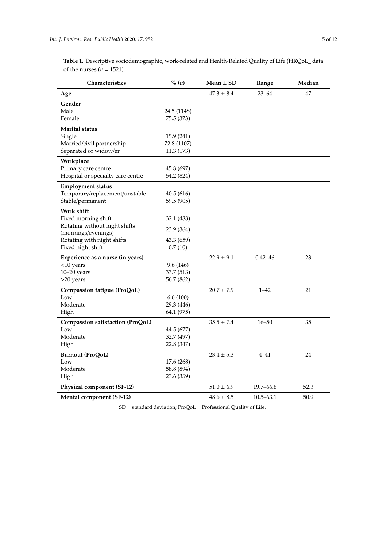<span id="page-4-0"></span>

| Table 1. Descriptive sociodemographic, work-related and Health-Related Quality of Life (HRQoL_data |  |
|----------------------------------------------------------------------------------------------------|--|
| of the nurses ( $n = 1521$ ).                                                                      |  |

| Characteristics                   | $\%$ (n)    | $Mean \pm SD$  | Range         | Median |
|-----------------------------------|-------------|----------------|---------------|--------|
| Age                               |             | $47.3 \pm 8.4$ | $23 - 64$     | 47     |
| Gender                            |             |                |               |        |
| Male                              | 24.5 (1148) |                |               |        |
| Female                            | 75.5 (373)  |                |               |        |
| <b>Marital status</b>             |             |                |               |        |
| Single                            | 15.9(241)   |                |               |        |
| Married/civil partnership         | 72.8 (1107) |                |               |        |
| Separated or widow/er             | 11.3(173)   |                |               |        |
| Workplace                         |             |                |               |        |
| Primary care centre               | 45.8 (697)  |                |               |        |
| Hospital or specialty care centre | 54.2 (824)  |                |               |        |
| <b>Employment status</b>          |             |                |               |        |
| Temporary/replacement/unstable    | 40.5(616)   |                |               |        |
| Stable/permanent                  | 59.5 (905)  |                |               |        |
| Work shift                        |             |                |               |        |
| Fixed morning shift               | 32.1 (488)  |                |               |        |
| Rotating without night shifts     |             |                |               |        |
| (mornings/evenings)               | 23.9 (364)  |                |               |        |
| Rotating with night shifts        | 43.3 (659)  |                |               |        |
| Fixed night shift                 | 0.7(10)     |                |               |        |
| Experience as a nurse (in years)  |             | $22.9 \pm 9.1$ | $0.42 - 46$   | 23     |
| <10 years                         | 9.6 (146)   |                |               |        |
| $10-20$ years                     | 33.7 (513)  |                |               |        |
| >20 years                         | 56.7 (862)  |                |               |        |
| Compassion fatigue (ProQoL)       |             | $20.7 \pm 7.9$ | $1 - 42$      | 21     |
| Low                               | 6.6(100)    |                |               |        |
| Moderate                          | 29.3 (446)  |                |               |        |
| High                              | 64.1 (975)  |                |               |        |
| Compassion satisfaction (ProQoL)  |             | $35.5 \pm 7.4$ | $16 - 50$     | 35     |
| Low                               | 44.5 (677)  |                |               |        |
| Moderate                          | 32.7 (497)  |                |               |        |
| High                              | 22.8 (347)  |                |               |        |
| <b>Burnout (ProQoL)</b>           |             | $23.4 \pm 5.3$ | $4 - 41$      | 24     |
| Low                               | 17.6 (268)  |                |               |        |
| Moderate                          | 58.8 (894)  |                |               |        |
| High                              | 23.6 (359)  |                |               |        |
| <b>Physical component (SF-12)</b> |             | $51.0 \pm 6.9$ | 19.7-66.6     | 52.3   |
| Mental component (SF-12)          |             | $48.6 \pm 8.5$ | $10.5 - 63.1$ | 50.9   |
|                                   |             |                |               |        |

SD = standard deviation; ProQoL = Professional Quality of Life.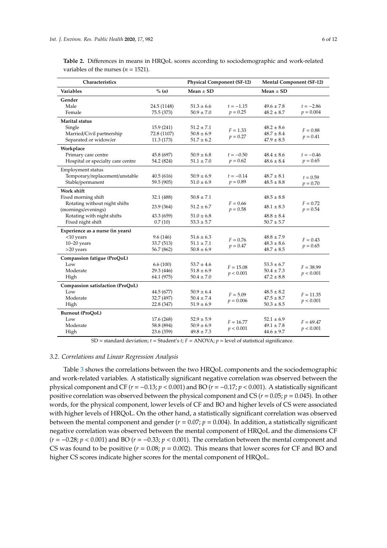| Characteristics                                      |             | <b>Physical Component (SF-12)</b> |                          | <b>Mental Component (SF-12)</b> |                          |  |
|------------------------------------------------------|-------------|-----------------------------------|--------------------------|---------------------------------|--------------------------|--|
| <b>Variables</b>                                     | $\%$ (n)    | Mean $\pm$ SD                     |                          | Mean $\pm$ SD                   |                          |  |
| Gender                                               |             |                                   |                          |                                 |                          |  |
| Male                                                 | 24.5 (1148) | $51.3 \pm 6.6$                    | $t = -1.15$              | $49.6 \pm 7.8$                  | $t = -2.86$              |  |
| Female                                               | 75.5 (373)  | $50.9 \pm 7.0$                    | $p = 0.25$               | $48.2 \pm 8.7$                  | $p = 0.004$              |  |
| <b>Marital</b> status                                |             |                                   |                          |                                 |                          |  |
| Single                                               | 15.9(241)   | $51.2 \pm 7.1$                    | $F = 1.33$               | $48.2 \pm 8.6$                  | $F = 0.88$               |  |
| Married/Civil partnership                            | 72.8 (1107) | $50.8 \pm 6.9$                    |                          | $48.7 \pm 8.4$                  |                          |  |
| Separated or widow/er                                | 11.3(173)   | $51.7 \pm 6.2$                    | $p = 0.27$               | $47.9 \pm 8.5$                  | $p = 0.41$               |  |
| Workplace                                            |             |                                   |                          |                                 |                          |  |
| Primary care centre                                  | 45.8 (697)  | $50.9 \pm 6.8$                    | $t = -0.50$              | $48.4 \pm 8.6$                  | $t = -0.46$              |  |
| Hospital or specialty care centre                    | 54.2 (824)  | $51.1 \pm 7.0$                    | $p = 0.62$               | $48.6 \pm 8.4$                  | $p = 0.65$               |  |
| Employment status                                    |             |                                   |                          |                                 |                          |  |
| Temporary/replacement/unstable                       | 40.5(616)   | $50.9 \pm 6.9$                    | $t = -0.14$              | $48.7 \pm 8.1$                  | $t = 0.59$               |  |
| Stable/permanent                                     | 59.5 (905)  | $51.0 \pm 6.9$                    | $p = 0.89$               | $48.5 \pm 8.8$                  | $p = 0.70$               |  |
| Work shift                                           |             |                                   |                          |                                 |                          |  |
| Fixed morning shift                                  | 32.1 (488)  | $50.8 \pm 7.1$                    |                          | $48.5 \pm 8.8$                  | $F = 0.72$<br>$p = 0.54$ |  |
| Rotating without night shifts<br>(mornings/evenings) | 23.9 (364)  | $51.2 \pm 6.7$                    | $F = 0.66$<br>$p = 0.58$ | $48.1 \pm 8.3$                  |                          |  |
| Rotating with night shifts                           | 43.3 (659)  | $51.0 \pm 6.8$                    |                          | $48.8 \pm 8.4$                  |                          |  |
| Fixed night shift                                    | 0.7(10)     | $53.3 \pm 5.7$                    |                          | $50.7\pm5.7$                    |                          |  |
|                                                      |             |                                   |                          |                                 |                          |  |
| Experience as a nurse (in years)                     |             |                                   |                          |                                 |                          |  |
| $<$ 10 years                                         | 9.6(146)    | $51.6 \pm 6.3$                    | $F = 0.76$               | $48.8 \pm 7.9$                  | $F = 0.43$               |  |
| $10-20$ years                                        | 33.7 (513)  | $51.1 \pm 7.1$                    | $p = 0.47$               | $48.3 \pm 8.6$                  | $p = 0.65$               |  |
| >20 years                                            | 56.7 (862)  | $50.8 \pm 6.9$                    |                          | $48.7 \pm 8.5$                  |                          |  |
| Compassion fatigue (ProQoL)                          |             |                                   |                          |                                 |                          |  |
| Low                                                  | 6.6(100)    | $53.7 \pm 4.6$                    | $F = 15.08$              | $53.3 \pm 6.7$                  | $F = 38.99$              |  |
| Moderate                                             | 29.3 (446)  | $51.8 \pm 6.9$                    | p < 0.001                | $50.4 \pm 7.3$                  | p < 0.001                |  |
| High                                                 | 64.1 (975)  | $50.4 \pm 7.0$                    |                          | $47.2 \pm 8.8$                  |                          |  |
| Compassion satisfaction (ProQoL)                     |             |                                   |                          |                                 |                          |  |
| Low                                                  | 44.5 (677)  | $50.9 \pm 6.4$                    | $F = 5.09$               | $48.5 \pm 8.2$                  | $F = 11.35$              |  |
| Moderate                                             | 32.7 (497)  | $50.4 \pm 7.4$                    | $p = 0.006$              | $47.5 \pm 8.7$                  | p < 0.001                |  |
| High                                                 | 22.8 (347)  | $51.9 \pm 6.9$                    |                          | $50.3 \pm 8.5$                  |                          |  |
| <b>Burnout (ProQoL)</b>                              |             |                                   |                          |                                 |                          |  |
| Low                                                  | 17.6 (268)  | $52.9 \pm 5.9$                    | $F = 16.77$              | $52.1 \pm 6.9$                  | $F = 69.47$              |  |
| Moderate                                             | 58.8 (894)  | $50.9 \pm 6.9$                    | p < 0.001                | $49.1 \pm 7.8$                  | p < 0.001                |  |
| High                                                 | 23.6 (359)  | $49.8 \pm 7.3$                    |                          | $44.6 \pm 9.7$                  |                          |  |

<span id="page-5-0"></span>**Table 2.** Differences in means in HRQoL scores according to sociodemographic and work-related variables of the nurses ( $n = 1521$ ).

SD = standard deviation;  $t =$  Student's  $t$ ;  $F =$  ANOVA;  $p =$  level of statistical significance.

# *3.2. Correlations and Linear Regression Analysis*

Table [3](#page-6-0) shows the correlations between the two HRQoL components and the sociodemographic and work-related variables. A statistically significant negative correlation was observed between the physical component and CF (*r* = −0.13; *p* < 0.001) and BO (*r* = −0.17; *p* < 0.001). A statistically significant positive correlation was observed between the physical component and CS (*r* = 0.05; *p* = 0.045). In other words, for the physical component, lower levels of CF and BO and higher levels of CS were associated with higher levels of HRQoL. On the other hand, a statistically significant correlation was observed between the mental component and gender ( $r = 0.07$ ;  $p = 0.004$ ). In addition, a statistically significant negative correlation was observed between the mental component of HRQoL and the dimensions CF (*r* = −0.28; *p* < 0.001) and BO (*r* = −0.33; *p* < 0.001). The correlation between the mental component and CS was found to be positive ( $r = 0.08$ ;  $p = 0.002$ ). This means that lower scores for CF and BO and higher CS scores indicate higher scores for the mental component of HRQoL.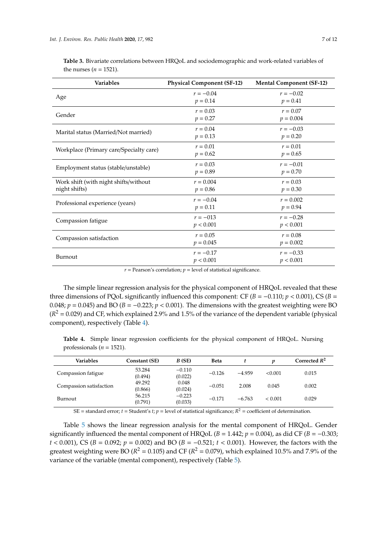| <b>Physical Component (SF-12)</b> | <b>Mental Component (SF-12)</b> |  |
|-----------------------------------|---------------------------------|--|
| $r = -0.04$                       | $r = -0.02$                     |  |
| $p = 0.14$                        | $p = 0.41$                      |  |
| $r = 0.03$                        | $r = 0.07$                      |  |
| $p = 0.27$                        | $p = 0.004$                     |  |
| $r = 0.04$                        | $r = -0.03$                     |  |
| $p = 0.13$                        | $p = 0.20$                      |  |
| $r = 0.01$                        | $r = 0.01$                      |  |
| $p = 0.62$                        | $p = 0.65$                      |  |
| $r = 0.03$                        | $r = -0.01$                     |  |
| $p = 0.89$                        | $p = 0.70$                      |  |
| $r = 0.004$                       | $r = 0.03$                      |  |
| $p = 0.86$                        | $p = 0.30$                      |  |
| $r = -0.04$                       | $r = 0.002$                     |  |
| $p = 0.11$                        | $p = 0.94$                      |  |
| $r = -013$                        | $r = -0.28$                     |  |
| p < 0.001                         | p < 0.001                       |  |
| $r = 0.05$                        | $r = 0.08$                      |  |
| $p = 0.045$                       | $p = 0.002$                     |  |
| $r = -0.17$                       | $r = -0.33$                     |  |
| p < 0.001                         | p < 0.001                       |  |
|                                   |                                 |  |

<span id="page-6-0"></span>**Table 3.** Bivariate correlations between HRQoL and sociodemographic and work-related variables of the nurses  $(n = 1521)$ .

 $r =$  Pearson's correlation;  $p =$  level of statistical significance.

The simple linear regression analysis for the physical component of HRQoL revealed that these three dimensions of PQoL significantly influenced this component: CF ( $B = -0.110$ ;  $p < 0.001$ ), CS ( $B =$ 0.048;  $p = 0.045$ ) and BO ( $B = -0.223$ ;  $p < 0.001$ ). The dimensions with the greatest weighting were BO  $(R^2 = 0.029)$  and CF, which explained 2.9% and 1.5% of the variance of the dependent variable (physical component), respectively (Table [4\)](#page-6-1).

<span id="page-6-1"></span>**Table 4.** Simple linear regression coefficients for the physical component of HRQoL. Nursing professionals ( $n = 1521$ ).

| <b>Variables</b>        | Constant (SE)     | B(SE)               | Beta     |          | v       | Corrected $R^2$ |
|-------------------------|-------------------|---------------------|----------|----------|---------|-----------------|
| Compassion fatigue      | 53.284<br>(0.494) | $-0.110$<br>(0.022) | $-0.126$ | $-4.959$ | < 0.001 | 0.015           |
| Compassion satisfaction | 49.292<br>(0.866) | 0.048<br>(0.024)    | $-0.051$ | 2.008    | 0.045   | 0.002           |
| Burnout                 | 56.215<br>(0.791) | $-0.223$<br>(0.033) | $-0.171$ | $-6.763$ | < 0.001 | 0.029           |

SE = standard error;  $t$  = Student's  $t$ ;  $p$  = level of statistical significance;  $R^2$  = coefficient of determination.

Table [5](#page-7-0) shows the linear regression analysis for the mental component of HRQoL. Gender significantly influenced the mental component of HRQoL ( $B = 1.442$ ;  $p = 0.004$ ), as did CF ( $B = -0.303$ ; *t* < 0.001), CS (*B* = 0.092; *p* = 0.002) and BO (*B* = −0.521; *t* < 0.001). However, the factors with the greatest weighting were BO ( $R^2 = 0.105$ ) and CF ( $R^2 = 0.079$ ), which explained 10.5% and 7.9% of the variance of the variable (mental component), respectively (Table [5\)](#page-7-0).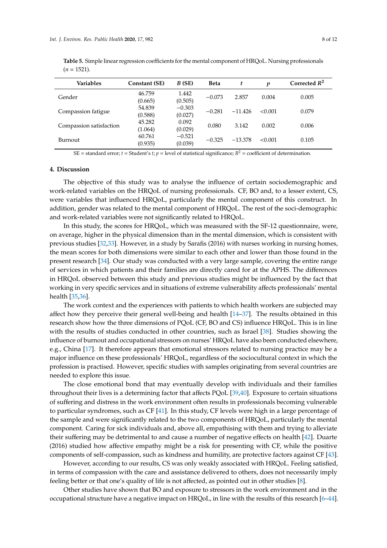<span id="page-7-0"></span>**Table 5.** Simple linear regression coefficients for the mental component of HRQoL. Nursing professionals  $(n = 1521)$ .

| <b>Variables</b>        | <b>Constant (SE)</b> | B(SE)    | <b>Beta</b> | t         | v       | Corrected $R^2$ |
|-------------------------|----------------------|----------|-------------|-----------|---------|-----------------|
| Gender                  | 46.759               | 1.442    | $-0.073$    | 2.857     | 0.004   | 0.005           |
|                         | (0.665)              | (0.505)  |             |           |         |                 |
| Compassion fatigue      | 54.839               | $-0.303$ | $-0.281$    | $-11.426$ | < 0.001 | 0.079           |
|                         | (0.588)              | (0.027)  |             |           |         |                 |
| Compassion satisfaction | 45.282               | 0.092    | 0.080       | 3.142     | 0.002   | 0.006           |
|                         | (1.064)              | (0.029)  |             |           |         |                 |
| Burnout                 | 60.761               | $-0.521$ | $-0.325$    | $-13.378$ | < 0.001 | 0.105           |
|                         | (0.935)              | (0.039)  |             |           |         |                 |

 $SE$  = standard error; *t* = Student's *t*; *p* = level of statistical significance;  $R^2$  = coefficient of determination.

#### **4. Discussion**

The objective of this study was to analyse the influence of certain sociodemographic and work-related variables on the HRQoL of nursing professionals. CF, BO and, to a lesser extent, CS, were variables that influenced HRQoL, particularly the mental component of this construct. In addition, gender was related to the mental component of HRQoL. The rest of the soci-demographic and work-related variables were not significantly related to HRQoL.

In this study, the scores for HRQoL, which was measured with the SF-12 questionnaire, were, on average, higher in the physical dimension than in the mental dimension, which is consistent with previous studies [\[32,](#page-10-19)[33\]](#page-10-20). However, in a study by Sarafis (2016) with nurses working in nursing homes, the mean scores for both dimensions were similar to each other and lower than those found in the present research [\[34\]](#page-11-0). Our study was conducted with a very large sample, covering the entire range of services in which patients and their families are directly cared for at the APHS. The differences in HRQoL observed between this study and previous studies might be influenced by the fact that working in very specific services and in situations of extreme vulnerability affects professionals' mental health [\[35](#page-11-1)[,36\]](#page-11-2).

The work context and the experiences with patients to which health workers are subjected may affect how they perceive their general well-being and health [\[14–](#page-10-1)[37\]](#page-11-3). The results obtained in this research show how the three dimensions of PQoL (CF, BO and CS) influence HRQoL. This is in line with the results of studies conducted in other countries, such as Israel [\[38\]](#page-11-4). Studies showing the influence of burnout and occupational stressors on nurses' HRQoL have also been conducted elsewhere, e.g., China [\[17\]](#page-10-4). It therefore appears that emotional stressors related to nursing practice may be a major influence on these professionals' HRQoL, regardless of the sociocultural context in which the profession is practised. However, specific studies with samples originating from several countries are needed to explore this issue.

The close emotional bond that may eventually develop with individuals and their families throughout their lives is a determining factor that affects PQoL [\[39,](#page-11-5)[40\]](#page-11-6). Exposure to certain situations of suffering and distress in the work environment often results in professionals becoming vulnerable to particular syndromes, such as CF [\[41\]](#page-11-7). In this study, CF levels were high in a large percentage of the sample and were significantly related to the two components of HRQoL, particularly the mental component. Caring for sick individuals and, above all, empathising with them and trying to alleviate their suffering may be detrimental to and cause a number of negative effects on health [\[42\]](#page-11-8). Duarte (2016) studied how affective empathy might be a risk for presenting with CF, while the positive components of self-compassion, such as kindness and humility, are protective factors against CF [\[43\]](#page-11-9).

However, according to our results, CS was only weakly associated with HRQoL. Feeling satisfied, in terms of compassion with the care and assistance delivered to others, does not necessarily imply feeling better or that one's quality of life is not affected, as pointed out in other studies [\[8\]](#page-9-7).

Other studies have shown that BO and exposure to stressors in the work environment and in the occupational structure have a negative impact on HRQoL, in line with the results of this research [\[6–](#page-9-5)[44\]](#page-11-10).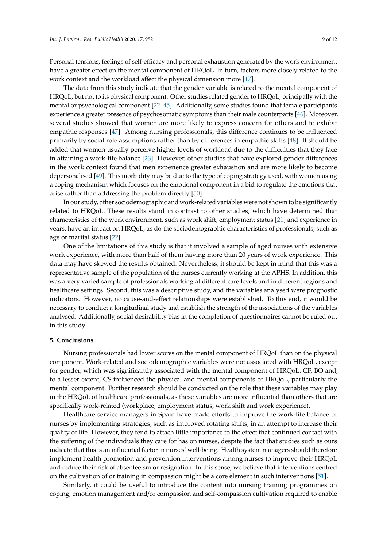Personal tensions, feelings of self-efficacy and personal exhaustion generated by the work environment have a greater effect on the mental component of HRQoL. In turn, factors more closely related to the work context and the workload affect the physical dimension more [\[17\]](#page-10-4).

The data from this study indicate that the gender variable is related to the mental component of HRQoL, but not to its physical component. Other studies related gender to HRQoL, principally with the mental or psychological component [\[22](#page-10-9)[–45\]](#page-11-11). Additionally, some studies found that female participants experience a greater presence of psychosomatic symptoms than their male counterparts [\[46\]](#page-11-12). Moreover, several studies showed that women are more likely to express concern for others and to exhibit empathic responses [\[47\]](#page-11-13). Among nursing professionals, this difference continues to be influenced primarily by social role assumptions rather than by differences in empathic skills [\[48\]](#page-11-14). It should be added that women usually perceive higher levels of workload due to the difficulties that they face in attaining a work-life balance [\[23\]](#page-10-10). However, other studies that have explored gender differences in the work context found that men experience greater exhaustion and are more likely to become depersonalised [\[49\]](#page-11-15). This morbidity may be due to the type of coping strategy used, with women using a coping mechanism which focuses on the emotional component in a bid to regulate the emotions that arise rather than addressing the problem directly [\[50\]](#page-11-16).

In our study, other sociodemographic and work-related variables were not shown to be significantly related to HRQoL. These results stand in contrast to other studies, which have determined that characteristics of the work environment, such as work shift, employment status [\[21\]](#page-10-8) and experience in years, have an impact on HRQoL, as do the sociodemographic characteristics of professionals, such as age or marital status [\[22\]](#page-10-9).

One of the limitations of this study is that it involved a sample of aged nurses with extensive work experience, with more than half of them having more than 20 years of work experience. This data may have skewed the results obtained. Nevertheless, it should be kept in mind that this was a representative sample of the population of the nurses currently working at the APHS. In addition, this was a very varied sample of professionals working at different care levels and in different regions and healthcare settings. Second, this was a descriptive study, and the variables analysed were prognostic indicators. However, no cause-and-effect relationships were established. To this end, it would be necessary to conduct a longitudinal study and establish the strength of the associations of the variables analysed. Additionally, social desirability bias in the completion of questionnaires cannot be ruled out in this study.

## **5. Conclusions**

Nursing professionals had lower scores on the mental component of HRQoL than on the physical component. Work-related and sociodemographic variables were not associated with HRQoL, except for gender, which was significantly associated with the mental component of HRQoL. CF, BO and, to a lesser extent, CS influenced the physical and mental components of HRQoL, particularly the mental component. Further research should be conducted on the role that these variables may play in the HRQoL of healthcare professionals, as these variables are more influential than others that are specifically work-related (workplace, employment status, work shift and work experience).

Healthcare service managers in Spain have made efforts to improve the work-life balance of nurses by implementing strategies, such as improved rotating shifts, in an attempt to increase their quality of life. However, they tend to attach little importance to the effect that continued contact with the suffering of the individuals they care for has on nurses, despite the fact that studies such as ours indicate that this is an influential factor in nurses' well-being. Health system managers should therefore implement health promotion and prevention interventions among nurses to improve their HRQoL and reduce their risk of absenteeism or resignation. In this sense, we believe that interventions centred on the cultivation of or training in compassion might be a core element in such interventions [\[51\]](#page-11-17).

Similarly, it could be useful to introduce the content into nursing training programmes on coping, emotion management and/or compassion and self-compassion cultivation required to enable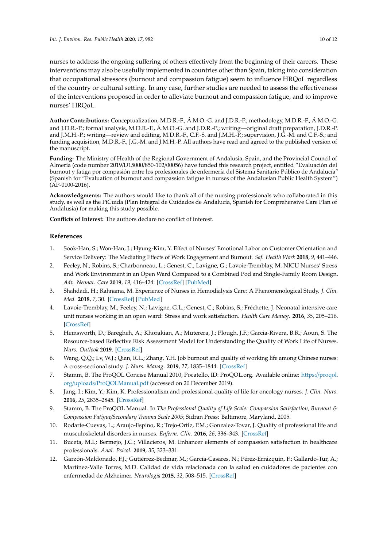nurses to address the ongoing suffering of others effectively from the beginning of their careers. These interventions may also be usefully implemented in countries other than Spain, taking into consideration that occupational stressors (burnout and compassion fatigue) seem to influence HRQoL regardless of the country or cultural setting. In any case, further studies are needed to assess the effectiveness of the interventions proposed in order to alleviate burnout and compassion fatigue, and to improve nurses' HRQoL.

**Author Contributions:** Conceptualization, M.D.R.-F., Á.M.O.-G. and J.D.R.-P.; methodology, M.D.R.-F., Á.M.O.-G. and J.D.R.-P.; formal analysis, M.D.R.-F., Á.M.O.-G. and J.D.R.-P.; writing—original draft preparation, J.D.R.-P. and J.M.H.-P.; writing—review and editing, M.D.R.-F., C.F.-S. and J.M.H.-P.; supervision, J.G.-M. and C.F.-S.; and funding acquisition, M.D.R.-F., J.G.-M. and J.M.H.-P. All authors have read and agreed to the published version of the manuscript.

**Funding:** The Ministry of Health of the Regional Government of Andalusia, Spain, and the Provincial Council of Almería (code number 2019/D15000/850-102/00056) have funded this research project, entitled "Evaluación del burnout y fatiga por compasión entre los profesionales de enfermería del Sistema Sanitario Público de Andalucía" (Spanish for "Evaluation of burnout and compassion fatigue in nurses of the Andalusian Public Health System")  $(AP-0100-2016)$ .

**Acknowledgments:** The authors would like to thank all of the nursing professionals who collaborated in this study, as well as the PiCuida (Plan Integral de Cuidados de Andalucía, Spanish for Comprehensive Care Plan of Andalusia) for making this study possible.

**Conflicts of Interest:** The authors declare no conflict of interest.

# **References**

- <span id="page-9-0"></span>1. Sook-Han, S.; Won-Han, J.; Hyung-Kim, Y. Effect of Nurses' Emotional Labor on Customer Orientation and Service Delivery: The Mediating Effects of Work Engagement and Burnout. *Saf. Health Work* **2018**, *9*, 441–446.
- <span id="page-9-1"></span>2. Feeley, N.; Robins, S.; Charbonneau, L.; Genest, C.; Lavigne, G.; Lavoie-Tremblay, M. NICU Nurses' Stress and Work Environment in an Open Ward Compared to a Combined Pod and Single-Family Room Design. *Adv. Neonat. Care* **2019**, *19*, 416–424. [\[CrossRef\]](http://dx.doi.org/10.1097/ANC.0000000000000603) [\[PubMed\]](http://www.ncbi.nlm.nih.gov/pubmed/31651473)
- <span id="page-9-2"></span>3. Shahdadi, H.; Rahnama, M. Experience of Nurses in Hemodialysis Care: A Phenomenological Study. *J. Clin. Med.* **2018**, *7*, 30. [\[CrossRef\]](http://dx.doi.org/10.3390/jcm7020030) [\[PubMed\]](http://www.ncbi.nlm.nih.gov/pubmed/29439484)
- <span id="page-9-3"></span>4. Lavoie-Tremblay, M.; Feeley, N.; Lavigne, G.L.; Genest, C.; Robins, S.; Fréchette, J. Neonatal intensive care unit nurses working in an open ward: Stress and work satisfaction. *Health Care Manag.* **2016**, *35*, 205–216. [\[CrossRef\]](http://dx.doi.org/10.1097/HCM.0000000000000122)
- <span id="page-9-4"></span>5. Hemsworth, D.; Baregheh, A.; Khorakian, A.; Muterera, J.; Plough, J.F.; Garcia-Rivera, B.R.; Aoun, S. The Resource-based Reflective Risk Assessment Model for Understanding the Quality of Work Life of Nurses. *Nurs. Outlook* **2019**. [\[CrossRef\]](http://dx.doi.org/10.1016/j.outlook.2019.10.006)
- <span id="page-9-5"></span>6. Wang, Q.Q.; Lv, W.J.; Qian, R.L.; Zhang, Y.H. Job burnout and quality of working life among Chinese nurses: A cross-sectional study. *J. Nurs. Manag.* **2019**, *27*, 1835–1844. [\[CrossRef\]](http://dx.doi.org/10.1111/jonm.12884)
- <span id="page-9-6"></span>7. Stamm, B. The ProQOL Concise Manual 2010, Pocatello, ID: ProQOL.org. Available online: https://[proqol.](https://proqol.org/uploads/ProQOLManual.pdf) org/uploads/[ProQOLManual.pdf](https://proqol.org/uploads/ProQOLManual.pdf) (accessed on 20 December 2019).
- <span id="page-9-7"></span>8. Jang, I.; Kim, Y.; Kim, K. Professionalism and professional quality of life for oncology nurses. *J. Clin. Nurs.* **2016**, *25*, 2835–2845. [\[CrossRef\]](http://dx.doi.org/10.1111/jocn.13330)
- <span id="page-9-8"></span>9. Stamm, B. The ProQOL Manual. In *The Professional Quality of Life Scale: Compassion Satisfaction, Burnout & Compassion Fatigue*/*Secondary Trauma Scale 2005*; Sidran Press: Baltimore, Maryland, 2005.
- <span id="page-9-9"></span>10. Rodarte-Cuevas, L.; Araujo-Espino, R.; Trejo-Ortiz, P.M.; Gonzalez-Tovar, J. Quality of professional life and musculoskeletal disorders in nurses. *Enferm. Clin.* **2016**, *26*, 336–343. [\[CrossRef\]](http://dx.doi.org/10.1016/j.enfcli.2016.08.002)
- <span id="page-9-10"></span>11. Buceta, M.I.; Bermejo, J.C.; Villacieros, M. Enhancer elements of compassion satisfaction in healthcare professionals. *Anal. Psicol.* **2019**, *35*, 323–331.
- <span id="page-9-11"></span>12. Garzón-Maldonado, F.J.; Gutiérrez-Bedmar, M.; García-Casares, N.; Pérez-Errázquin, F.; Gallardo-Tur, A.; Martínez-Valle Torres, M.D. Calidad de vida relacionada con la salud en cuidadores de pacientes con enfermedad de Alzheimer. *Neurología* **2015**, *32*, 508–515. [\[CrossRef\]](http://dx.doi.org/10.1016/j.nrl.2016.02.023)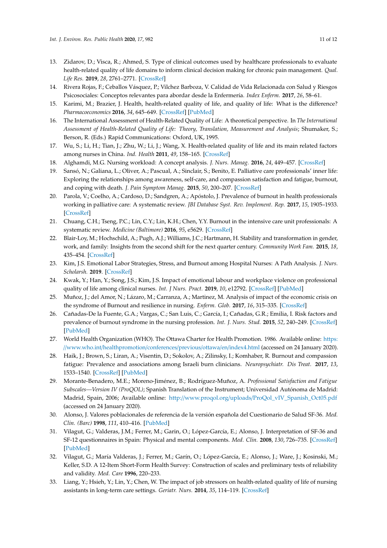- <span id="page-10-0"></span>13. Zidarov, D.; Visca, R.; Ahmed, S. Type of clinical outcomes used by healthcare professionals to evaluate health-related quality of life domains to inform clinical decision making for chronic pain management. *Qual. Life Res.* **2019**, *28*, 2761–2771. [\[CrossRef\]](http://dx.doi.org/10.1007/s11136-019-02215-8)
- <span id="page-10-1"></span>14. Rivera Rojas, F.; Ceballos Vásquez, P.; Vilchez Barboza, V. Calidad de Vida Relacionada con Salud y Riesgos Psicosociales: Conceptos relevantes para abordar desde la Enfermería. *Index Enferm.* **2017**, *26*, 58–61.
- <span id="page-10-2"></span>15. Karimi, M.; Brazier, J. Health, health-related quality of life, and quality of life: What is the difference? *Pharmacoeconomics* **2016**, *34*, 645–649. [\[CrossRef\]](http://dx.doi.org/10.1007/s40273-016-0389-9) [\[PubMed\]](http://www.ncbi.nlm.nih.gov/pubmed/26892973)
- <span id="page-10-3"></span>16. The International Assessment of Health-Related Quality of Life: A theoretical perspective. In *The International Assessment of Health-Related Quality of Life: Theory, Translation, Measurement and Analysis*; Shumaker, S.; Berson, R. (Eds.) Rapid Communications: Oxford, UK, 1995.
- <span id="page-10-4"></span>17. Wu, S.; Li, H.; Tian, J.; Zhu, W.; Li, J.; Wang, X. Health-related quality of life and its main related factors among nurses in China. *Ind. Health* **2011**, *49*, 158–165. [\[CrossRef\]](http://dx.doi.org/10.2486/indhealth.MS1160)
- <span id="page-10-5"></span>18. Alghamdi, M.G. Nursing workload: A concept analysis. *J. Nurs. Manag.* **2016**, *24*, 449–457. [\[CrossRef\]](http://dx.doi.org/10.1111/jonm.12354)
- <span id="page-10-6"></span>19. Sansó, N.; Galiana, L.; Oliver, A.; Pascual, A.; Sinclair, S.; Benito, E. Palliative care professionals' inner life: Exploring the relationships among awareness, self-care, and compassion satisfaction and fatigue, burnout, and coping with death. *J. Pain Symptom Manag.* **2015**, *50*, 200–207. [\[CrossRef\]](http://dx.doi.org/10.1016/j.jpainsymman.2015.02.013)
- <span id="page-10-7"></span>20. Parola, V.; Coelho, A.; Cardoso, D.; Sandgren, A.; Apóstolo, J. Prevalence of burnout in health professionals working in palliative care: A systematic review. *JBI Database Syst. Rev. Implement. Rep.* **2017**, *15*, 1905–1933. [\[CrossRef\]](http://dx.doi.org/10.11124/JBISRIR-2016-003309)
- <span id="page-10-8"></span>21. Chuang, C.H.; Tseng, P.C.; Lin, C.Y.; Lin, K.H.; Chen, Y.Y. Burnout in the intensive care unit professionals: A systematic review. *Medicine (Baltimore)* **2016**, *95*, e5629. [\[CrossRef\]](http://dx.doi.org/10.1097/MD.0000000000005629)
- <span id="page-10-9"></span>22. Blair-Loy, M.; Hochschild, A.; Pugh, A.J.; Williams, J.C.; Hartmann, H. Stability and transformation in gender, work, and family: Insights from the second shift for the next quarter century. *Community Work Fam.* **2015**, *18*, 435–454. [\[CrossRef\]](http://dx.doi.org/10.1080/13668803.2015.1080664)
- <span id="page-10-10"></span>23. Kim, J.S. Emotional Labor Strategies, Stress, and Burnout among Hospital Nurses: A Path Analysis. *J. Nurs. Scholarsh.* **2019**. [\[CrossRef\]](http://dx.doi.org/10.1111/jnu.12532)
- <span id="page-10-11"></span>24. Kwak, Y.; Han, Y.; Song, J.S.; Kim, J.S. Impact of emotional labour and workplace violence on professional quality of life among clinical nurses. *Int. J Nurs. Pract.* **2019**, *10*, e12792. [\[CrossRef\]](http://dx.doi.org/10.1111/ijn.12792) [\[PubMed\]](http://www.ncbi.nlm.nih.gov/pubmed/31823456)
- <span id="page-10-12"></span>25. Muñoz, J.; del Amor, N.; Lázaro, M.; Carranza, A.; Martinez, M. Analysis of impact of the economic crisis on the syndrome of Burnout and resilience in nursing. *Enferm. Glob.* **2017**, *16*, 315–335. [\[CrossRef\]](http://dx.doi.org/10.6018/eglobal.16.2.239681)
- <span id="page-10-13"></span>26. Cañadas-De la Fuente, G.A.; Vargas, C.; San Luis, C.; García, I.; Cañadas, G.R.; Emilia, I. Risk factors and prevalence of burnout syndrome in the nursing profession. *Int. J. Nurs. Stud.* **2015**, *52*, 240–249. [\[CrossRef\]](http://dx.doi.org/10.1016/j.ijnurstu.2014.07.001) [\[PubMed\]](http://www.ncbi.nlm.nih.gov/pubmed/25062805)
- <span id="page-10-14"></span>27. World Health Organization (WHO). The Ottawa Charter for Health Promotion. 1986. Available online: [https:](https://www.who.int/healthpromotion/conferences/previous/ottawa/en/index4.html) //www.who.int/[healthpromotion](https://www.who.int/healthpromotion/conferences/previous/ottawa/en/index4.html)/conferences/previous/ottawa/en/index4.html (accessed on 24 January 2020).
- <span id="page-10-15"></span>28. Haik, J.; Brown, S.; Liran, A.; Visentin, D.; Sokolov, A.; Zilinsky, I.; Komhaber, R. Burnout and compassion fatigue: Prevalence and associations among Israeli burn clinicians. *Neuropsychiatr. Dis Treat.* **2017**, *13*, 1533–1540. [\[CrossRef\]](http://dx.doi.org/10.2147/NDT.S133181) [\[PubMed\]](http://www.ncbi.nlm.nih.gov/pubmed/28670122)
- <span id="page-10-16"></span>29. Morante-Benadero, M.E.; Moreno-Jiménez, B.; Rodríguez-Muñoz, A. *Professional Satisfaction and Fatigue Subscales—Version IV (ProQOL)*; Spanish Translation of the Instrument; Universidad Autónoma de Madrid: Madrid, Spain, 2006; Available online: http://www.proqol.org/uploads/[ProQol\\_vIV\\_Spanish\\_Oct05.pdf](http://www.proqol.org/uploads/ProQol_vIV_Spanish_Oct05.pdf) (accessed on 24 January 2020).
- <span id="page-10-17"></span>30. Alonso, J. Valores poblacionales de referencia de la versión española del Cuestionario de Salud SF-36. *Med. Clin. (Barc)* **1998**, *111*, 410–416. [\[PubMed\]](http://www.ncbi.nlm.nih.gov/pubmed/9834913)
- <span id="page-10-18"></span>31. Vilagut, G.; Valderas, J.M.; Ferrer, M.; Garin, O.; López-García, E.; Alonso, J. Interpretation of SF-36 and SF-12 questionnaires in Spain: Physical and mental components. *Med. Clin.* **2008**, *130*, 726–735. [\[CrossRef\]](http://dx.doi.org/10.1157/13121076) [\[PubMed\]](http://www.ncbi.nlm.nih.gov/pubmed/18570798)
- <span id="page-10-19"></span>32. Vilagut, G.; María Valderas, J.; Ferrer, M.; Garín, O.; López-García, E.; Alonso, J.; Ware, J.; Kosinski, M.; Keller, S.D. A 12-Item Short-Form Health Survey: Construction of scales and preliminary tests of reliability and validity. *Med. Care* **1996**, 220–233.
- <span id="page-10-20"></span>33. Liang, Y.; Hsieh, Y.; Lin, Y.; Chen, W. The impact of job stressors on health-related quality of life of nursing assistants in long-term care settings. *Geriatr. Nurs.* **2014**, *35*, 114–119. [\[CrossRef\]](http://dx.doi.org/10.1016/j.gerinurse.2013.11.001)